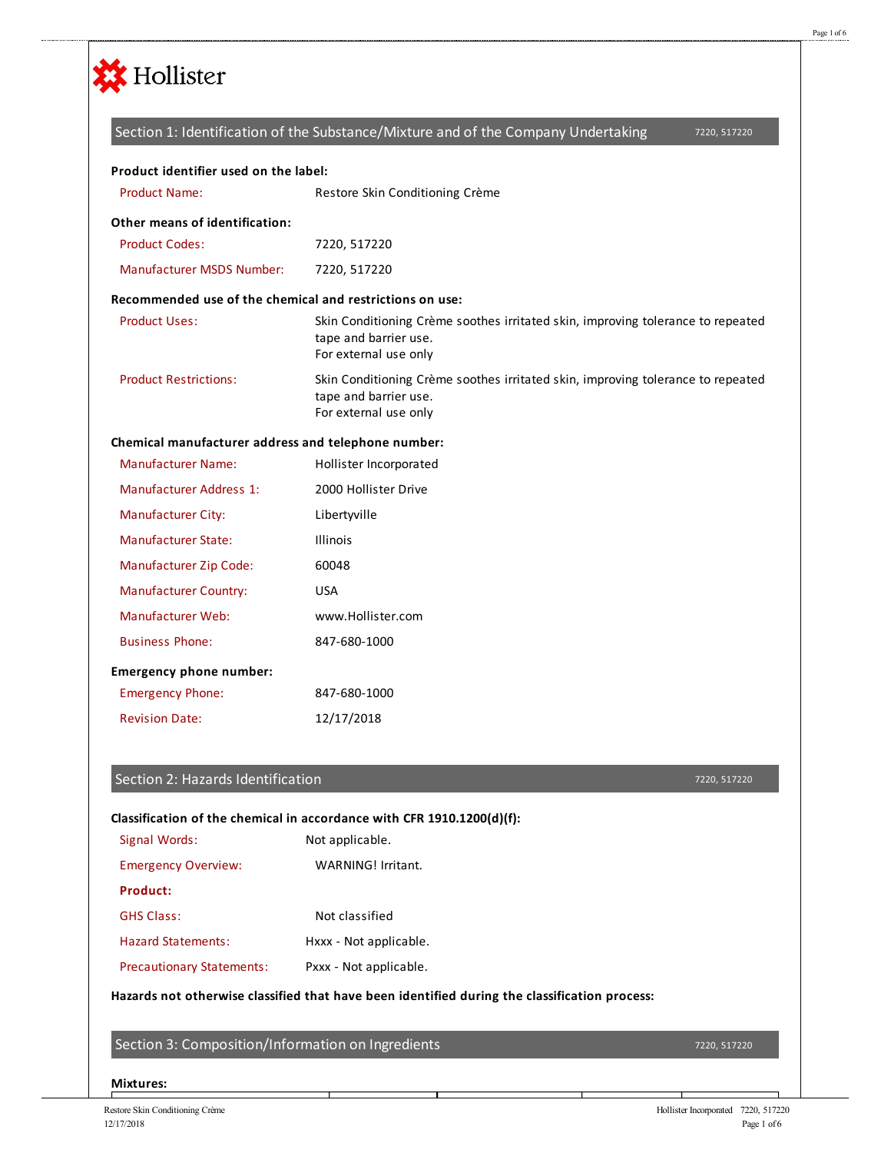

## 7220, 517220 Product Name: Restore Skin Conditioning Crème Product Codes: 7220, 517220 Manufacturer MSDS Number: 7220, 517220 Product Uses: Skin Conditioning Crème soothes irritated skin, improving tolerance to repeated tape and barrier use. For external use only Product Restrictions: Skin Conditioning Crème soothes irritated skin, improving tolerance to repeated tape and barrier use. For external use only Manufacturer Name: Hollister Incorporated Manufacturer Address 1: 2000 Hollister Drive Manufacturer City: Libertyville Manufacturer State: Illinois Manufacturer Zip Code: 60048 Manufacturer Country: USA Manufacturer Web: www.Hollister.com Business Phone: 847-680-1000 Emergency Phone: 847-680-1000 Revision Date: 12/17/2018 **Product identifier used on the label: Other means of identification: Recommended use of the chemical and restrictions on use: Chemical manufacturer address and telephone number: Emergency phone number:** Section 1: Identification of the Substance/Mixture and of the Company Undertaking

#### Section 2: Hazards Identification

#### 7220, 517220

## **Classification of the chemical in accordance with CFR 1910.1200(d)(f):**

| Signal Words:                    | Not applicable.        |
|----------------------------------|------------------------|
| <b>Emergency Overview:</b>       | WARNING! Irritant.     |
| Product:                         |                        |
| <b>GHS Class:</b>                | Not classified         |
| Hazard Statements:               | Hxxx - Not applicable. |
| <b>Precautionary Statements:</b> | Pxxx - Not applicable. |

#### **Hazards not otherwise classified that have been identified during the classification process:**

Section 3: Composition/Information on Ingredients

7220, 517220

#### **Mixtures:**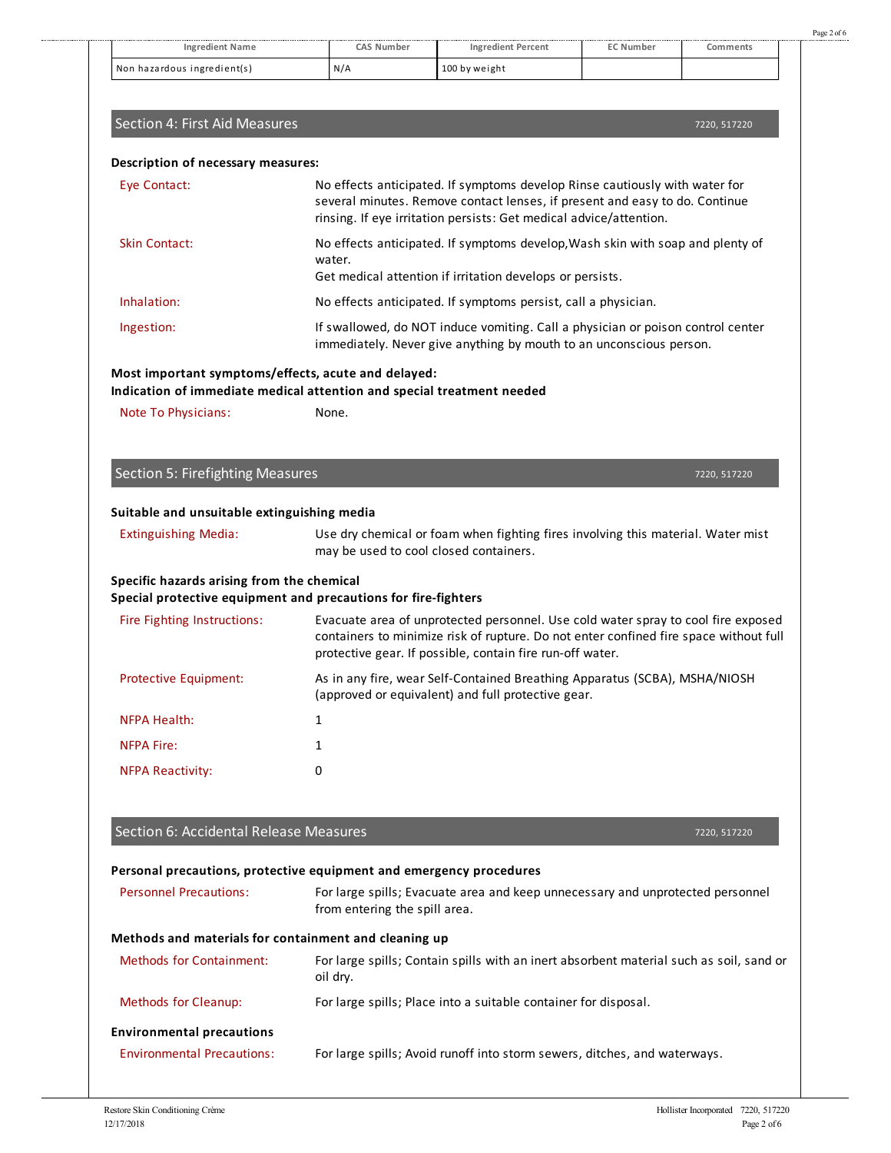|                                                                                                                               |                                                                                                                                                        | <b>Ingredient Percent</b>                                                                                                                                                                                                               | <b>EC Number</b> |              |
|-------------------------------------------------------------------------------------------------------------------------------|--------------------------------------------------------------------------------------------------------------------------------------------------------|-----------------------------------------------------------------------------------------------------------------------------------------------------------------------------------------------------------------------------------------|------------------|--------------|
| Non hazardous ingredient(s)                                                                                                   | N/A                                                                                                                                                    | 100 by weight                                                                                                                                                                                                                           |                  |              |
|                                                                                                                               |                                                                                                                                                        |                                                                                                                                                                                                                                         |                  |              |
| Section 4: First Aid Measures                                                                                                 |                                                                                                                                                        |                                                                                                                                                                                                                                         |                  | 7220, 517220 |
| Description of necessary measures:                                                                                            |                                                                                                                                                        |                                                                                                                                                                                                                                         |                  |              |
| Eye Contact:                                                                                                                  |                                                                                                                                                        | No effects anticipated. If symptoms develop Rinse cautiously with water for<br>several minutes. Remove contact lenses, if present and easy to do. Continue<br>rinsing. If eye irritation persists: Get medical advice/attention.        |                  |              |
| Skin Contact:                                                                                                                 | No effects anticipated. If symptoms develop, Wash skin with soap and plenty of<br>water.<br>Get medical attention if irritation develops or persists.  |                                                                                                                                                                                                                                         |                  |              |
| Inhalation:                                                                                                                   | No effects anticipated. If symptoms persist, call a physician.                                                                                         |                                                                                                                                                                                                                                         |                  |              |
| Ingestion:                                                                                                                    | If swallowed, do NOT induce vomiting. Call a physician or poison control center<br>immediately. Never give anything by mouth to an unconscious person. |                                                                                                                                                                                                                                         |                  |              |
| Most important symptoms/effects, acute and delayed:<br>Indication of immediate medical attention and special treatment needed |                                                                                                                                                        |                                                                                                                                                                                                                                         |                  |              |
| Note To Physicians:                                                                                                           | None.                                                                                                                                                  |                                                                                                                                                                                                                                         |                  |              |
|                                                                                                                               |                                                                                                                                                        |                                                                                                                                                                                                                                         |                  |              |
| <b>Section 5: Firefighting Measures</b>                                                                                       |                                                                                                                                                        |                                                                                                                                                                                                                                         |                  | 7220, 517220 |
|                                                                                                                               |                                                                                                                                                        |                                                                                                                                                                                                                                         |                  |              |
|                                                                                                                               |                                                                                                                                                        |                                                                                                                                                                                                                                         |                  |              |
| Suitable and unsuitable extinguishing media<br><b>Extinguishing Media:</b>                                                    | may be used to cool closed containers.                                                                                                                 | Use dry chemical or foam when fighting fires involving this material. Water mist                                                                                                                                                        |                  |              |
| Specific hazards arising from the chemical                                                                                    |                                                                                                                                                        |                                                                                                                                                                                                                                         |                  |              |
| Special protective equipment and precautions for fire-fighters<br>Fire Fighting Instructions:                                 |                                                                                                                                                        | Evacuate area of unprotected personnel. Use cold water spray to cool fire exposed<br>containers to minimize risk of rupture. Do not enter confined fire space without full<br>protective gear. If possible, contain fire run-off water. |                  |              |
| Protective Equipment:                                                                                                         |                                                                                                                                                        | As in any fire, wear Self-Contained Breathing Apparatus (SCBA), MSHA/NIOSH<br>(approved or equivalent) and full protective gear.                                                                                                        |                  |              |
| <b>NFPA Health:</b>                                                                                                           | 1                                                                                                                                                      |                                                                                                                                                                                                                                         |                  |              |
| <b>NFPA Fire:</b>                                                                                                             | $\mathbf{1}$                                                                                                                                           |                                                                                                                                                                                                                                         |                  |              |
| <b>NFPA Reactivity:</b>                                                                                                       | 0                                                                                                                                                      |                                                                                                                                                                                                                                         |                  |              |
|                                                                                                                               |                                                                                                                                                        |                                                                                                                                                                                                                                         |                  |              |
| Section 6: Accidental Release Measures                                                                                        |                                                                                                                                                        |                                                                                                                                                                                                                                         |                  | 7220, 517220 |
| Personal precautions, protective equipment and emergency procedures<br><b>Personnel Precautions:</b>                          | from entering the spill area.                                                                                                                          | For large spills; Evacuate area and keep unnecessary and unprotected personnel                                                                                                                                                          |                  |              |
|                                                                                                                               |                                                                                                                                                        |                                                                                                                                                                                                                                         |                  |              |
| Methods and materials for containment and cleaning up<br><b>Methods for Containment:</b>                                      | oil dry.                                                                                                                                               | For large spills; Contain spills with an inert absorbent material such as soil, sand or                                                                                                                                                 |                  |              |
| Methods for Cleanup:                                                                                                          |                                                                                                                                                        | For large spills; Place into a suitable container for disposal.                                                                                                                                                                         |                  |              |
| <b>Environmental precautions</b>                                                                                              |                                                                                                                                                        |                                                                                                                                                                                                                                         |                  |              |

Page 2 of 6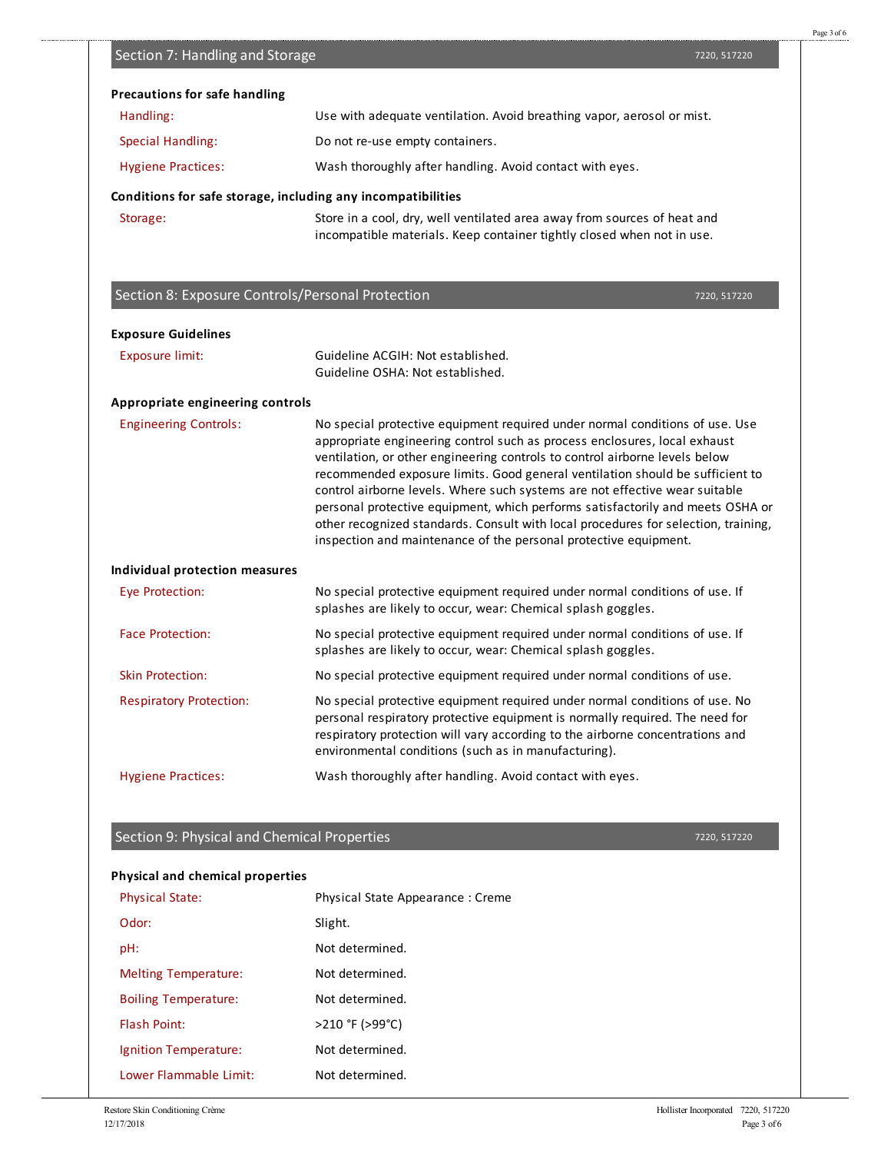| <b>Physical State:</b>                        | Physical State Appearance: Creme |                        |                             |
|-----------------------------------------------|----------------------------------|------------------------|-----------------------------|
| Odor:                                         | Slight.                          |                        |                             |
| pH:                                           | Not determined.                  |                        |                             |
| <b>Melting Temperature:</b>                   | Not determined.                  |                        |                             |
| <b>Boiling Temperature:</b>                   | Not determined.                  |                        |                             |
| <b>Flash Point:</b>                           | >210 °F (>99°C)                  |                        |                             |
| Ignition Temperature:                         | Not determined.                  |                        |                             |
| Lower Flammable Limit:                        | Not determined.                  |                        |                             |
| Restore Skin Conditioning Crème<br>12/17/2018 |                                  | Hollister Incorporated | 7220, 517220<br>Page 3 of 6 |
|                                               |                                  |                        |                             |
|                                               |                                  |                        |                             |
|                                               |                                  |                        |                             |

7220, 517220

| Section 7: Handling and Storage                              |                                                                                                                                                                                                                                                                                                                                                                                                                                                                                                                                                                                                                                                      | 7220, 517220 |
|--------------------------------------------------------------|------------------------------------------------------------------------------------------------------------------------------------------------------------------------------------------------------------------------------------------------------------------------------------------------------------------------------------------------------------------------------------------------------------------------------------------------------------------------------------------------------------------------------------------------------------------------------------------------------------------------------------------------------|--------------|
| <b>Precautions for safe handling</b>                         |                                                                                                                                                                                                                                                                                                                                                                                                                                                                                                                                                                                                                                                      |              |
| Handling:                                                    | Use with adequate ventilation. Avoid breathing vapor, aerosol or mist.                                                                                                                                                                                                                                                                                                                                                                                                                                                                                                                                                                               |              |
| <b>Special Handling:</b>                                     | Do not re-use empty containers.                                                                                                                                                                                                                                                                                                                                                                                                                                                                                                                                                                                                                      |              |
| <b>Hygiene Practices:</b>                                    | Wash thoroughly after handling. Avoid contact with eyes.                                                                                                                                                                                                                                                                                                                                                                                                                                                                                                                                                                                             |              |
| Conditions for safe storage, including any incompatibilities |                                                                                                                                                                                                                                                                                                                                                                                                                                                                                                                                                                                                                                                      |              |
| Storage:                                                     | Store in a cool, dry, well ventilated area away from sources of heat and<br>incompatible materials. Keep container tightly closed when not in use.                                                                                                                                                                                                                                                                                                                                                                                                                                                                                                   |              |
| Section 8: Exposure Controls/Personal Protection             |                                                                                                                                                                                                                                                                                                                                                                                                                                                                                                                                                                                                                                                      | 7220, 517220 |
| <b>Exposure Guidelines</b>                                   |                                                                                                                                                                                                                                                                                                                                                                                                                                                                                                                                                                                                                                                      |              |
| <b>Exposure limit:</b>                                       | Guideline ACGIH: Not established.<br>Guideline OSHA: Not established.                                                                                                                                                                                                                                                                                                                                                                                                                                                                                                                                                                                |              |
| Appropriate engineering controls                             |                                                                                                                                                                                                                                                                                                                                                                                                                                                                                                                                                                                                                                                      |              |
| <b>Engineering Controls:</b>                                 | No special protective equipment required under normal conditions of use. Use<br>appropriate engineering control such as process enclosures, local exhaust<br>ventilation, or other engineering controls to control airborne levels below<br>recommended exposure limits. Good general ventilation should be sufficient to<br>control airborne levels. Where such systems are not effective wear suitable<br>personal protective equipment, which performs satisfactorily and meets OSHA or<br>other recognized standards. Consult with local procedures for selection, training,<br>inspection and maintenance of the personal protective equipment. |              |
| Individual protection measures                               |                                                                                                                                                                                                                                                                                                                                                                                                                                                                                                                                                                                                                                                      |              |
| Eye Protection:                                              | No special protective equipment required under normal conditions of use. If<br>splashes are likely to occur, wear: Chemical splash goggles.                                                                                                                                                                                                                                                                                                                                                                                                                                                                                                          |              |
| <b>Face Protection:</b>                                      | No special protective equipment required under normal conditions of use. If<br>splashes are likely to occur, wear: Chemical splash goggles.                                                                                                                                                                                                                                                                                                                                                                                                                                                                                                          |              |
| <b>Skin Protection:</b>                                      | No special protective equipment required under normal conditions of use.                                                                                                                                                                                                                                                                                                                                                                                                                                                                                                                                                                             |              |
| <b>Respiratory Protection:</b>                               | No special protective equipment required under normal conditions of use. No<br>personal respiratory protective equipment is normally required. The need for<br>respiratory protection will vary according to the airborne concentrations and<br>environmental conditions (such as in manufacturing).                                                                                                                                                                                                                                                                                                                                                 |              |
| <b>Hygiene Practices:</b>                                    | Wash thoroughly after handling. Avoid contact with eyes.                                                                                                                                                                                                                                                                                                                                                                                                                                                                                                                                                                                             |              |

# Section 9: Physical and Chemical Properties

### **Physical and chemical properties**

Page 3 of 6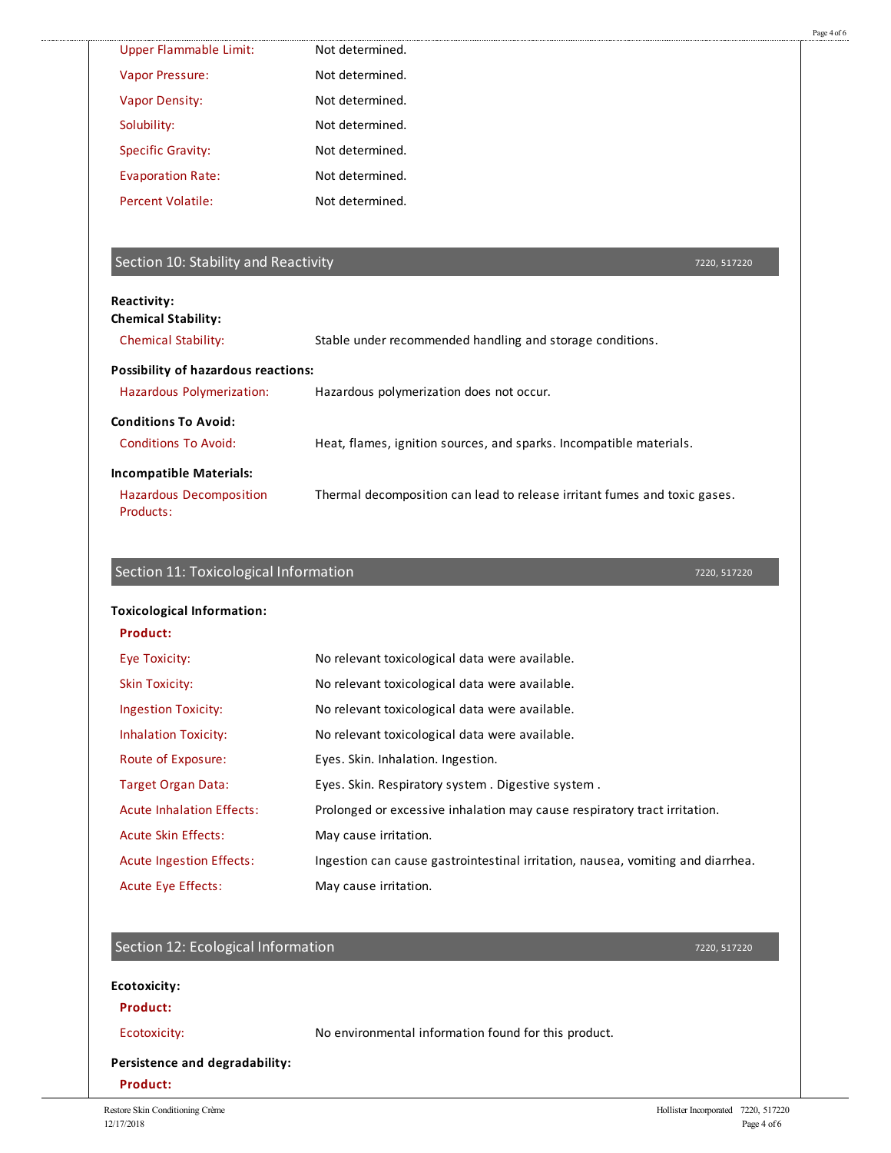| <b>Upper Flammable Limit:</b>                                                 | Not determined.                                                                 |  |
|-------------------------------------------------------------------------------|---------------------------------------------------------------------------------|--|
| Vapor Pressure:                                                               | Not determined.                                                                 |  |
| <b>Vapor Density:</b>                                                         | Not determined.                                                                 |  |
| Solubility:                                                                   | Not determined.                                                                 |  |
| <b>Specific Gravity:</b>                                                      | Not determined.                                                                 |  |
| <b>Evaporation Rate:</b>                                                      | Not determined.                                                                 |  |
| <b>Percent Volatile:</b>                                                      | Not determined.                                                                 |  |
| Section 10: Stability and Reactivity                                          | 7220, 517220                                                                    |  |
| Reactivity:                                                                   |                                                                                 |  |
| <b>Chemical Stability:</b><br><b>Chemical Stability:</b>                      | Stable under recommended handling and storage conditions.                       |  |
|                                                                               |                                                                                 |  |
| <b>Possibility of hazardous reactions:</b><br>Hazardous Polymerization:       | Hazardous polymerization does not occur.                                        |  |
|                                                                               |                                                                                 |  |
| <b>Conditions To Avoid:</b><br><b>Conditions To Avoid:</b>                    | Heat, flames, ignition sources, and sparks. Incompatible materials.             |  |
|                                                                               |                                                                                 |  |
|                                                                               |                                                                                 |  |
| <b>Incompatible Materials:</b><br><b>Hazardous Decomposition</b><br>Products: | Thermal decomposition can lead to release irritant fumes and toxic gases.       |  |
|                                                                               |                                                                                 |  |
| Section 11: Toxicological Information                                         | 7220, 517220                                                                    |  |
| <b>Toxicological Information:</b>                                             |                                                                                 |  |
| Product:                                                                      |                                                                                 |  |
| Eye Toxicity:                                                                 | No relevant toxicological data were available.                                  |  |
| <b>Skin Toxicity:</b>                                                         | No relevant toxicological data were available.                                  |  |
| <b>Ingestion Toxicity:</b>                                                    | No relevant toxicological data were available.                                  |  |
| <b>Inhalation Toxicity:</b>                                                   | No relevant toxicological data were available.                                  |  |
| Route of Exposure:                                                            | Eyes. Skin. Inhalation. Ingestion.                                              |  |
| <b>Target Organ Data:</b>                                                     | Eyes. Skin. Respiratory system. Digestive system.                               |  |
| <b>Acute Inhalation Effects:</b>                                              | Prolonged or excessive inhalation may cause respiratory tract irritation.       |  |
| Acute Skin Effects:                                                           | May cause irritation.                                                           |  |
| <b>Acute Ingestion Effects:</b>                                               | Ingestion can cause gastrointestinal irritation, nausea, vomiting and diarrhea. |  |
| Acute Eye Effects:                                                            | May cause irritation.                                                           |  |
|                                                                               | 7220, 517220                                                                    |  |
| Section 12: Ecological Information                                            |                                                                                 |  |
| <b>Ecotoxicity:</b><br>Product:                                               |                                                                                 |  |

.......................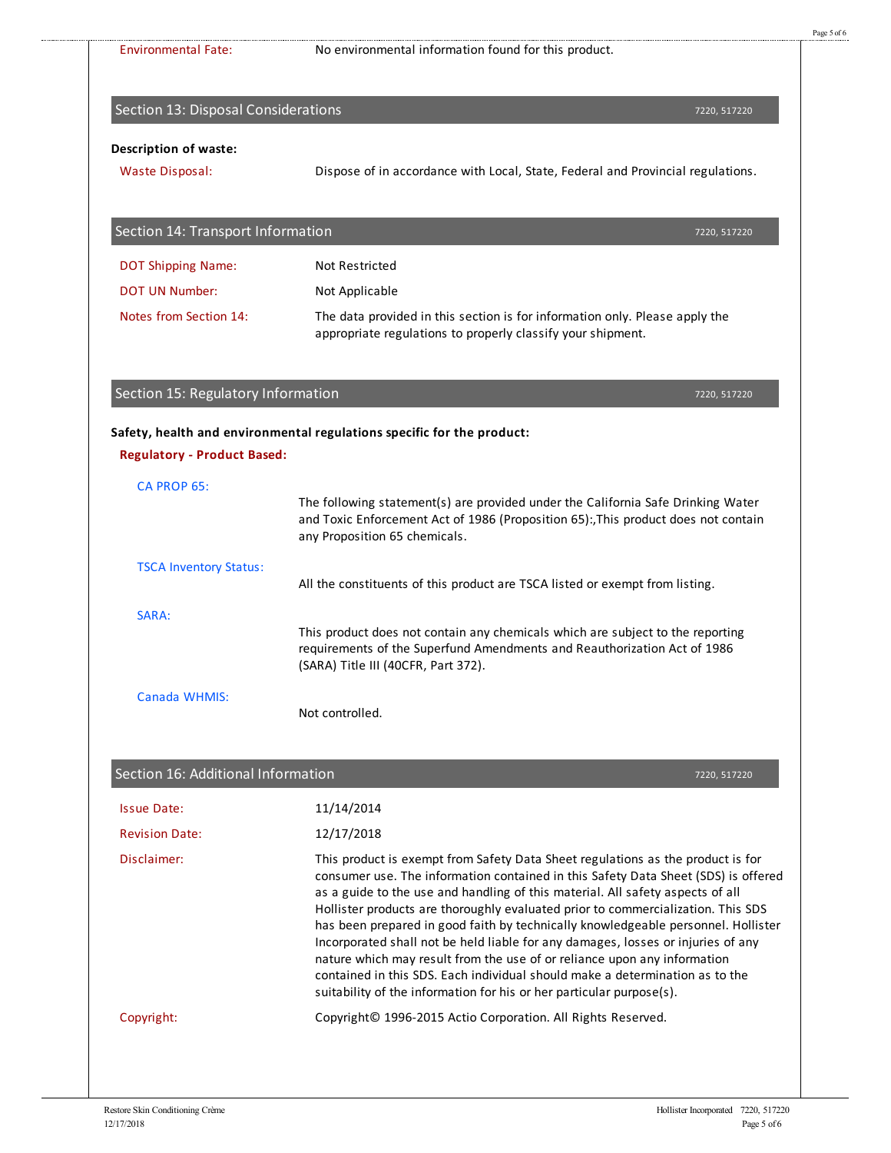| <b>Environmental Fate:</b>          | No environmental information found for this product.                                                                                                                                                                                                                                                                                                                                                                                                                                                                                                                                                                                                                                                                                                     |
|-------------------------------------|----------------------------------------------------------------------------------------------------------------------------------------------------------------------------------------------------------------------------------------------------------------------------------------------------------------------------------------------------------------------------------------------------------------------------------------------------------------------------------------------------------------------------------------------------------------------------------------------------------------------------------------------------------------------------------------------------------------------------------------------------------|
|                                     |                                                                                                                                                                                                                                                                                                                                                                                                                                                                                                                                                                                                                                                                                                                                                          |
| Section 13: Disposal Considerations | 7220, 517220                                                                                                                                                                                                                                                                                                                                                                                                                                                                                                                                                                                                                                                                                                                                             |
| <b>Description of waste:</b>        |                                                                                                                                                                                                                                                                                                                                                                                                                                                                                                                                                                                                                                                                                                                                                          |
| <b>Waste Disposal:</b>              | Dispose of in accordance with Local, State, Federal and Provincial regulations.                                                                                                                                                                                                                                                                                                                                                                                                                                                                                                                                                                                                                                                                          |
| Section 14: Transport Information   | 7220, 517220                                                                                                                                                                                                                                                                                                                                                                                                                                                                                                                                                                                                                                                                                                                                             |
| <b>DOT Shipping Name:</b>           | <b>Not Restricted</b>                                                                                                                                                                                                                                                                                                                                                                                                                                                                                                                                                                                                                                                                                                                                    |
| <b>DOT UN Number:</b>               | Not Applicable                                                                                                                                                                                                                                                                                                                                                                                                                                                                                                                                                                                                                                                                                                                                           |
| Notes from Section 14:              | The data provided in this section is for information only. Please apply the<br>appropriate regulations to properly classify your shipment.                                                                                                                                                                                                                                                                                                                                                                                                                                                                                                                                                                                                               |
| Section 15: Regulatory Information  | 7220, 517220                                                                                                                                                                                                                                                                                                                                                                                                                                                                                                                                                                                                                                                                                                                                             |
|                                     |                                                                                                                                                                                                                                                                                                                                                                                                                                                                                                                                                                                                                                                                                                                                                          |
| <b>Regulatory - Product Based:</b>  | Safety, health and environmental regulations specific for the product:                                                                                                                                                                                                                                                                                                                                                                                                                                                                                                                                                                                                                                                                                   |
| <b>CA PROP 65:</b>                  |                                                                                                                                                                                                                                                                                                                                                                                                                                                                                                                                                                                                                                                                                                                                                          |
|                                     | The following statement(s) are provided under the California Safe Drinking Water<br>and Toxic Enforcement Act of 1986 (Proposition 65): This product does not contain<br>any Proposition 65 chemicals.                                                                                                                                                                                                                                                                                                                                                                                                                                                                                                                                                   |
| <b>TSCA Inventory Status:</b>       | All the constituents of this product are TSCA listed or exempt from listing.                                                                                                                                                                                                                                                                                                                                                                                                                                                                                                                                                                                                                                                                             |
| SARA:                               |                                                                                                                                                                                                                                                                                                                                                                                                                                                                                                                                                                                                                                                                                                                                                          |
|                                     | This product does not contain any chemicals which are subject to the reporting<br>requirements of the Superfund Amendments and Reauthorization Act of 1986<br>(SARA) Title III (40CFR, Part 372).                                                                                                                                                                                                                                                                                                                                                                                                                                                                                                                                                        |
| Canada WHMIS:                       | Not controlled.                                                                                                                                                                                                                                                                                                                                                                                                                                                                                                                                                                                                                                                                                                                                          |
| Section 16: Additional Information  |                                                                                                                                                                                                                                                                                                                                                                                                                                                                                                                                                                                                                                                                                                                                                          |
|                                     | 7220, 517220                                                                                                                                                                                                                                                                                                                                                                                                                                                                                                                                                                                                                                                                                                                                             |
| <b>Issue Date:</b>                  | 11/14/2014                                                                                                                                                                                                                                                                                                                                                                                                                                                                                                                                                                                                                                                                                                                                               |
| <b>Revision Date:</b>               | 12/17/2018                                                                                                                                                                                                                                                                                                                                                                                                                                                                                                                                                                                                                                                                                                                                               |
| Disclaimer:                         | This product is exempt from Safety Data Sheet regulations as the product is for<br>consumer use. The information contained in this Safety Data Sheet (SDS) is offered<br>as a guide to the use and handling of this material. All safety aspects of all<br>Hollister products are thoroughly evaluated prior to commercialization. This SDS<br>has been prepared in good faith by technically knowledgeable personnel. Hollister<br>Incorporated shall not be held liable for any damages, losses or injuries of any<br>nature which may result from the use of or reliance upon any information<br>contained in this SDS. Each individual should make a determination as to the<br>suitability of the information for his or her particular purpose(s). |
| Copyright:                          | Copyright© 1996-2015 Actio Corporation. All Rights Reserved.                                                                                                                                                                                                                                                                                                                                                                                                                                                                                                                                                                                                                                                                                             |